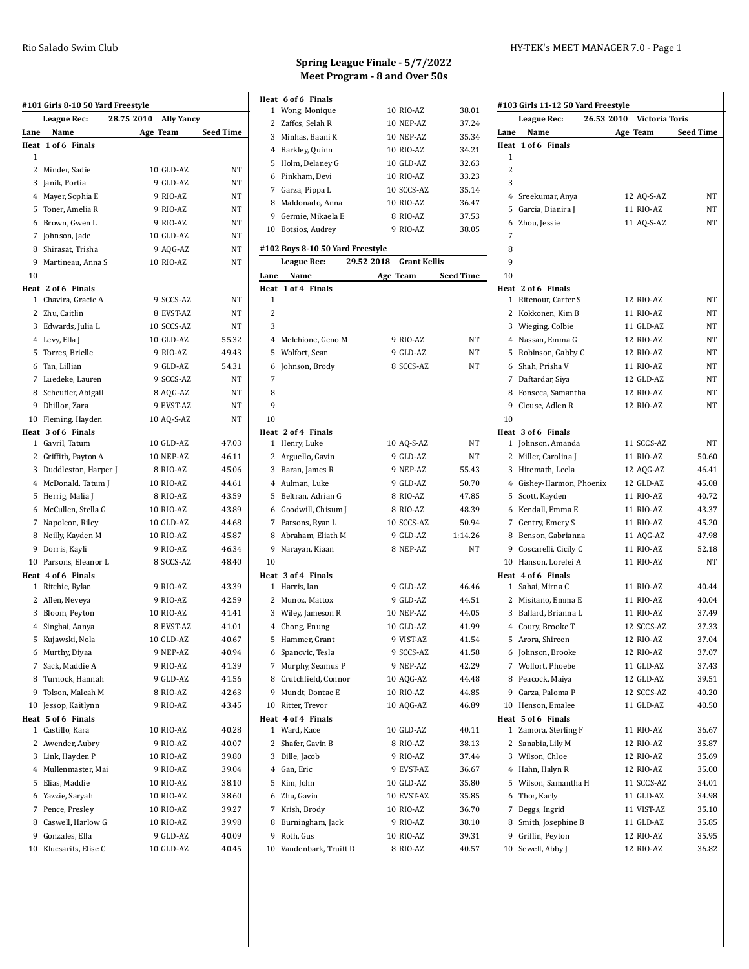|              | #101 Girls 8-10 50 Yard Freestyle<br><b>League Rec:</b> | 28.75 2010<br><b>Ally Yancy</b> |                  |
|--------------|---------------------------------------------------------|---------------------------------|------------------|
| Lane         | Name                                                    | Age Team                        | <b>Seed Time</b> |
|              | Heat 1 of 6 Finals                                      |                                 |                  |
| 1            |                                                         |                                 |                  |
|              | 2 Minder, Sadie                                         | 10 GLD-AZ                       | NT               |
|              | 3 Janik, Portia                                         | 9 GLD-AZ                        | NT               |
|              | 4 Mayer, Sophia E                                       | 9 RIO-AZ                        | NT               |
|              | 5 Toner, Amelia R                                       | 9 RIO-AZ                        | NT               |
|              | 6 Brown, Gwen L                                         | 9 RIO-AZ                        | <b>NT</b>        |
|              | 7 Johnson, Jade                                         | 10 GLD-AZ                       | NT               |
|              | 8 Shirasat, Trisha                                      | 9 AQG-AZ                        | NT               |
|              | 9 Martineau, Anna S                                     | 10 RIO-AZ                       | <b>NT</b>        |
| 10           |                                                         |                                 |                  |
|              | Heat 2 of 6 Finals                                      |                                 |                  |
|              | 1 Chavira, Gracie A                                     | 9 SCCS-AZ                       | NT               |
|              | 2 Zhu, Caitlin                                          | 8 EVST-AZ                       | NT               |
|              | 3 Edwards, Julia L                                      | 10 SCCS-AZ                      | NT               |
|              | 4 Levy, Ella J                                          | 10 GLD-AZ                       | 55.32            |
|              | 5 Torres, Brielle                                       | 9 RIO-AZ                        | 49.43            |
|              |                                                         |                                 | 54.31            |
|              | 6 Tan, Lillian                                          | 9 GLD-AZ                        |                  |
|              | 7 Luedeke, Lauren                                       | 9 SCCS-AZ                       | NT               |
|              | 8 Scheufler, Abigail                                    | 8 AQG-AZ                        | NT               |
|              | 9 Dhillon, Zara                                         | 9 EVST-AZ                       | NT               |
|              | 10 Fleming, Hayden                                      | 10 AQ-S-AZ                      | NT               |
|              | Heat 3 of 6 Finals                                      |                                 |                  |
|              | 1 Gavril, Tatum                                         | 10 GLD-AZ                       | 47.03            |
|              | 2 Griffith, Payton A                                    | 10 NEP-AZ                       | 46.11            |
|              | 3 Duddleston, Harper J                                  | 8 RIO-AZ                        | 45.06            |
|              | 4 McDonald, Tatum J                                     | 10 RIO-AZ                       | 44.61            |
|              | 5 Herrig, Malia J                                       | 8 RIO-AZ                        | 43.59            |
|              | 6 McCullen, Stella G                                    | 10 RIO-AZ                       | 43.89            |
|              | 7 Napoleon, Riley                                       | 10 GLD-AZ                       | 44.68            |
|              | 8 Neilly, Kayden M                                      | 10 RIO-AZ                       | 45.87            |
|              | 9 Dorris, Kayli                                         | 9 RIO-AZ                        | 46.34            |
|              | 10 Parsons, Eleanor L                                   | 8 SCCS-AZ                       | 48.40            |
|              | Heat 4 of 6 Finals                                      |                                 |                  |
|              | 1 Ritchie, Rylan                                        | 9 RIO-AZ                        | 43.39            |
|              | 2 Allen, Neveya                                         | 9 RIO-AZ                        | 42.59            |
|              | 3 Bloom, Peyton                                         | 10 RIO-AZ                       | 41.41            |
|              | 4 Singhai, Aanya                                        | 8 EVST-AZ                       | 41.01            |
|              | 5 Kujawski, Nola                                        | 10 GLD-AZ                       | 40.67            |
| 6            | Murthy, Diyaa                                           | 9 NEP-AZ                        | 40.94            |
| 7            | Sack, Maddie A                                          | 9 RIO-AZ                        | 41.39            |
|              | 8 Turnock, Hannah                                       | 9 GLD-AZ                        | 41.56            |
|              | 9 Tolson, Maleah M                                      | 8 RIO-AZ                        | 42.63            |
|              | 10 Jessop, Kaitlynn                                     | 9 RIO-AZ                        | 43.45            |
| Heat         | 5 of 6 Finals                                           |                                 |                  |
| 1            | Castillo, Kara                                          | 10 RIO-AZ                       | 40.28            |
| $\mathbf{2}$ | Awender, Aubry                                          | 9 RIO-AZ                        | 40.07            |
|              | 3 Link, Hayden P                                        | 10 RIO-AZ                       | 39.80            |
|              | 4 Mullenmaster, Mai                                     | 9 RIO-AZ                        | 39.04            |
|              | 5 Elias, Maddie                                         | 10 RIO-AZ                       | 38.10            |
|              | 6 Yazzie, Saryah                                        | 10 RIO-AZ                       | 38.60            |
|              | 7 Pence, Presley                                        | 10 RIO-AZ                       | 39.27            |
|              | 8 Caswell, Harlow G                                     | 10 RIO-AZ                       | 39.98            |
|              | 9 Gonzales, Ella                                        | 9 GLD-AZ                        | 40.09            |
|              | 10 Klucsarits, Elise C                                  | 10 GLD-AZ                       | 40.45            |
|              |                                                         |                                 |                  |
|              |                                                         |                                 |                  |

|      | Heat 6 of 6 Finals                  |                                   |                  |
|------|-------------------------------------|-----------------------------------|------------------|
|      | 1 Wong, Monique                     | 10 RIO-AZ                         | 38.01            |
|      | 2 Zaffos, Selah R                   | 10 NEP-AZ                         | 37.24            |
|      | 3 Minhas, Baani K                   | 10 NEP-AZ                         | 35.34            |
|      | 4 Barkley, Quinn                    | 10 RIO-AZ                         | 34.21            |
|      | 5 Holm, Delaney G                   | 10 GLD-AZ                         | 32.63            |
|      | 6 Pinkham, Devi                     | 10 RIO-AZ                         | 33.23            |
|      | 7 Garza, Pippa L                    | 10 SCCS-AZ                        | 35.14            |
|      | 8 Maldonado, Anna                   | 10 RIO-AZ                         | 36.47            |
|      | 9 Germie, Mikaela E                 | 8 RIO-AZ<br>9 RIO-AZ              | 37.53            |
|      | 10 Botsios, Audrey                  |                                   | 38.05            |
|      | #102 Boys 8-10 50 Yard Freestyle    |                                   |                  |
|      | League Rec:                         | 29.52 2018<br><b>Grant Kellis</b> |                  |
| Lane | Name                                | Age Team                          | <b>Seed Time</b> |
| 1    | Heat 1 of 4 Finals                  |                                   |                  |
| 2    |                                     |                                   |                  |
| 3    |                                     |                                   |                  |
|      | 4 Melchione, Geno M                 | 9 RIO-AZ                          | NΤ               |
|      | 5 Wolfort, Sean                     | 9 GLD-AZ                          | NT               |
| 6    | Johnson, Brody                      | 8 SCCS-AZ                         | NT               |
| 7    |                                     |                                   |                  |
| 8    |                                     |                                   |                  |
| 9    |                                     |                                   |                  |
| 10   |                                     |                                   |                  |
|      | Heat 2 of 4 Finals                  |                                   |                  |
|      | 1 Henry, Luke                       | 10 AQ-S-AZ                        | NΤ               |
|      | 2 Arguello, Gavin                   | 9 GLD-AZ                          | NΤ               |
|      | 3 Baran, James R                    | 9 NEP-AZ                          | 55.43            |
|      | 4 Aulman, Luke                      | 9 GLD-AZ                          | 50.70            |
|      | 5 Beltran, Adrian G                 | 8 RIO-AZ                          | 47.85            |
|      | 6 Goodwill, Chisum J                | 8 RIO-AZ                          | 48.39            |
|      | 7 Parsons, Ryan L                   | 10 SCCS-AZ                        | 50.94            |
|      | 8 Abraham, Eliath M                 | 9 GLD-AZ                          | 1:14.26          |
|      | 9 Narayan, Kiaan                    | 8 NEP-AZ                          | NT               |
| 10   |                                     |                                   |                  |
|      | Heat 3 of 4 Finals<br>1 Harris, Ian |                                   |                  |
|      | 2 Munoz, Mattox                     | 9 GLD-AZ<br>9 GLD-AZ              | 46.46            |
|      |                                     | 10 NEP-AZ                         | 44.51            |
| 4    | 3 Wiley, Jameson R<br>Chong, Enung  | 10 GLD-AZ                         | 44.05<br>41.99   |
| 5    | Hammer, Grant                       | 9 VIST-AZ                         | 41.54            |
|      | 6 Spanovic, Tesla                   | 9 SCCS-AZ                         | 41.58            |
| 7    | Murphy, Seamus P                    | 9 NEP-AZ                          | 42.29            |
|      | 8 Crutchfield, Connor               | 10 AQG-AZ                         | 44.48            |
|      | 9 Mundt, Dontae E                   | 10 RIO-AZ                         | 44.85            |
|      | 10 Ritter, Trevor                   | 10 AQG-AZ                         | 46.89            |
|      | Heat 4 of 4 Finals                  |                                   |                  |
| 1    | Ward, Kace                          | 10 GLD-AZ                         | 40.11            |
| 2    | Shafer, Gavin B                     | 8 RIO-AZ                          | 38.13            |
|      | 3 Dille, Jacob                      | 9 RIO-AZ                          | 37.44            |
|      | 4 Gan, Eric                         | 9 EVST-AZ                         | 36.67            |
| 5    | Kim, John                           | 10 GLD-AZ                         | 35.80            |
| 6    | Zhu, Gavin                          | 10 EVST-AZ                        | 35.85            |
|      | 7 Krish, Brody                      | 10 RIO-AZ                         | 36.70            |
|      | 8 Burningham, Jack                  | 9 RIO-AZ                          | 38.10            |
| 9    | Roth, Gus                           | 10 RIO-AZ                         | 39.31            |
|      | 10 Vandenbark, Truitt D             | 8 RIO-AZ                          | 40.57            |

#### Rio Salado Swim Club **HY-TEK's MEET MANAGER 7.0** - Page 1

| 26.53 2010 Victoria Toris<br><b>League Rec:</b> |                          |                        |                  |  |
|-------------------------------------------------|--------------------------|------------------------|------------------|--|
| Lane                                            | Name                     | Age Team               | <b>Seed Time</b> |  |
|                                                 | Heat 1 of 6 Finals       |                        |                  |  |
| 1                                               |                          |                        |                  |  |
| 2                                               |                          |                        |                  |  |
| 3                                               |                          |                        |                  |  |
|                                                 | 4 Sreekumar, Anya        | 12 AQ-S-AZ             | NΤ               |  |
|                                                 | 5 Garcia, Dianira J      | 11 RIO-AZ              | NΤ               |  |
| 6                                               | Zhou, Jessie             | 11 AO-S-AZ             | NΤ               |  |
| 7                                               |                          |                        |                  |  |
| 8                                               |                          |                        |                  |  |
| 9                                               |                          |                        |                  |  |
| 10                                              |                          |                        |                  |  |
|                                                 | Heat 2 of 6 Finals       |                        |                  |  |
|                                                 | 1 Ritenour, Carter S     | 12 RIO-AZ              | NΤ               |  |
|                                                 | 2 Kokkonen, Kim B        | 11 RIO-AZ              | NΤ               |  |
|                                                 | 3 Wieging, Colbie        | 11 GLD-AZ              | NΤ               |  |
|                                                 | 4 Nassan, Emma G         | 12 RIO-AZ              | <b>NT</b>        |  |
|                                                 | 5 Robinson, Gabby C      | 12 RIO-AZ              | NΤ               |  |
|                                                 | 6 Shah, Prisha V         | 11 RIO-AZ              | <b>NT</b>        |  |
|                                                 | 7 Daftardar, Siya        | 12 GLD-AZ              | NΤ               |  |
|                                                 | 8 Fonseca, Samantha      | 12 RIO-AZ              | NΤ               |  |
|                                                 | 9 Clouse, Adlen R        | 12 RIO-AZ              | NΤ               |  |
| 10                                              |                          |                        |                  |  |
|                                                 | Heat 3 of 6 Finals       |                        |                  |  |
|                                                 | 1 Johnson, Amanda        | 11 SCCS-AZ             | NT               |  |
|                                                 | 2 Miller, Carolina J     | 11 RIO-AZ              | 50.60            |  |
|                                                 | 3 Hiremath, Leela        | 12 AQG-AZ              | 46.41            |  |
|                                                 | 4 Gishey-Harmon, Phoenix | 12 GLD-AZ              | 45.08            |  |
|                                                 | 5 Scott, Kayden          | 11 RIO-AZ              | 40.72            |  |
|                                                 | 6 Kendall, Emma E        | 11 RIO-AZ              | 43.37            |  |
|                                                 | 7 Gentry, Emery S        | 11 RIO-AZ              | 45.20            |  |
|                                                 | 8 Benson, Gabrianna      | 11 AQG-AZ              | 47.98            |  |
|                                                 | 9 Coscarelli, Cicily C   | 11 RIO-AZ              | 52.18            |  |
|                                                 | 10 Hanson, Lorelei A     | 11 RIO-AZ              | NT               |  |
|                                                 | Heat 4 of 6 Finals       |                        |                  |  |
|                                                 | 1 Sahai, Mirna C         | 11 RIO-AZ              | 40.44            |  |
|                                                 | 2 Misitano, Emma E       | 11 RIO-AZ              | 40.04            |  |
|                                                 | 3 Ballard, Brianna L     | 11 RIO-AZ              | 37.49            |  |
|                                                 | 4 Coury, Brooke T        | 12 SCCS-AZ             | 37.33            |  |
| 5                                               | Arora, Shireen           | 12 RIO-AZ              | 37.04            |  |
|                                                 | 6 Johnson, Brooke        |                        |                  |  |
|                                                 |                          | 12 RIO-AZ<br>11 GLD-AZ | 37.07            |  |
|                                                 | 7 Wolfort, Phoebe        |                        | 37.43            |  |
|                                                 | 8 Peacock, Maiya         | 12 GLD-AZ              | 39.51            |  |
|                                                 | 9 Garza, Paloma P        | 12 SCCS-AZ             | 40.20            |  |
|                                                 | 10 Henson, Emalee        | 11 GLD-AZ              | 40.50            |  |
|                                                 | Heat 5 of 6 Finals       |                        |                  |  |
| 1                                               | Zamora, Sterling F       | 11 RIO-AZ              | 36.67            |  |
| 2                                               | Sanabia, Lily M          | 12 RIO-AZ              | 35.87            |  |
|                                                 | 3 Wilson, Chloe          | 12 RIO-AZ              | 35.69            |  |
|                                                 | 4 Hahn, Halyn R          | 12 RIO-AZ              | 35.00            |  |
|                                                 | 5 Wilson, Samantha H     | 11 SCCS-AZ             | 34.01            |  |
|                                                 | 6 Thor, Karly            | 11 GLD-AZ              | 34.98            |  |
| 7                                               | Beggs, Ingrid            | 11 VIST-AZ             | 35.10            |  |
|                                                 | 8 Smith, Josephine B     | 11 GLD-AZ              | 35.85            |  |
|                                                 | 9 Griffin, Peyton        | 12 RIO-AZ              | 35.95            |  |
|                                                 | 10 Sewell, Abby J        | 12 RIO-AZ              | 36.82            |  |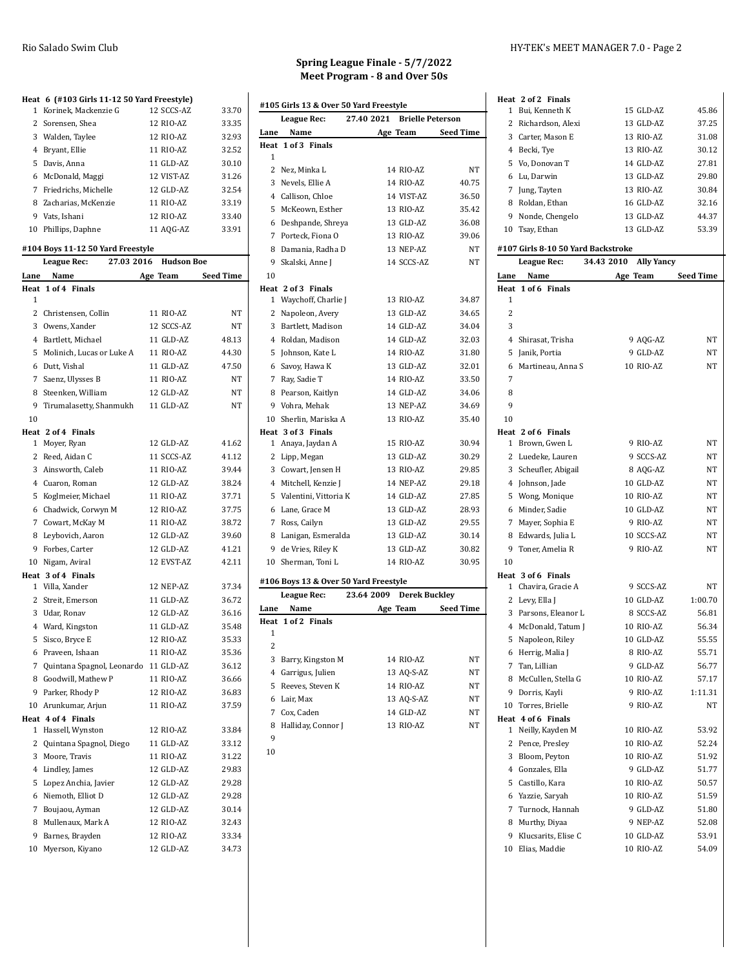| 1              | Heat 6 (#103 Girls 11-12 50 Yard Freestyle)<br>Korinek, Mackenzie G | 12 SCCS-AZ             | 33.70          |
|----------------|---------------------------------------------------------------------|------------------------|----------------|
| 2              | Sorensen, Shea                                                      | 12 RIO-AZ              | 33.35          |
|                | 3 Walden, Taylee                                                    | 12 RIO-AZ              | 32.93          |
|                | 4 Bryant, Ellie                                                     | 11 RIO-AZ              | 32.52          |
|                | 5 Davis, Anna                                                       | 11 GLD-AZ              | 30.10          |
|                | 6 McDonald, Maggi                                                   | 12 VIST-AZ             | 31.26          |
|                | 7 Friedrichs, Michelle                                              | 12 GLD-AZ              | 32.54          |
|                | 8 Zacharias, McKenzie                                               | 11 RIO-AZ              | 33.19          |
|                | 9 Vats, Ishani                                                      | 12 RIO-AZ              | 33.40          |
|                | 10 Phillips, Daphne                                                 | 11 AQG-AZ              | 33.91          |
|                |                                                                     |                        |                |
|                | #104 Boys 11-12 50 Yard Freestyle                                   |                        |                |
|                | 27.03 2016<br><b>League Rec:</b>                                    | <b>Hudson Boe</b>      |                |
| Lane           | Name                                                                | Age Team               | Seed Time      |
| 1              | Heat 1 of 4 Finals                                                  |                        |                |
| $\mathbf{2}$   | Christensen, Collin                                                 | 11 RIO-AZ              | NT             |
| $\overline{3}$ | Owens, Xander                                                       | 12 SCCS-AZ             | NT             |
|                | 4 Bartlett, Michael                                                 | 11 GLD-AZ              | 48.13          |
| 5              | Molinich, Lucas or Luke A                                           | 11 RIO-AZ              | 44.30          |
|                | 6 Dutt, Vishal                                                      | 11 GLD-AZ              | 47.50          |
|                | Saenz, Ulysses B                                                    | 11 RIO-AZ              | <b>NT</b>      |
| 7              |                                                                     |                        |                |
|                | 8 Steenken, William                                                 | 12 GLD-AZ              | NT             |
| 9              | Tirumalasetty, Shanmukh                                             | 11 GLD-AZ              | NT             |
| 10             |                                                                     |                        |                |
| $\mathbf{1}$   | Heat 2 of 4 Finals                                                  | 12 GLD-AZ              | 41.62          |
|                | Moyer, Ryan<br>2 Reed, Aidan C                                      | 11 SCCS-AZ             | 41.12          |
|                |                                                                     | 11 RIO-AZ              | 39.44          |
|                | 3 Ainsworth, Caleb                                                  |                        |                |
|                | 4 Cuaron, Roman                                                     | 12 GLD-AZ              | 38.24          |
| 5              | Koglmeier, Michael                                                  | 11 RIO-AZ              | 37.71          |
|                | 6 Chadwick, Corwyn M                                                | 12 RIO-AZ              | 37.75          |
|                | 7 Cowart, McKay M                                                   | 11 RIO-AZ              | 38.72          |
|                | 8 Leybovich, Aaron                                                  | 12 GLD-AZ              | 39.60          |
|                | 9 Forbes, Carter                                                    | 12 GLD-AZ              | 41.21          |
|                | 10 Nigam, Aviral                                                    | 12 EVST-AZ             | 42.11          |
|                | Heat 3 of 4 Finals                                                  | 12 NEP-AZ              | 37.34          |
|                | 1 Villa, Xander                                                     |                        |                |
| $\mathbf{2}$   | Streit, Emerson                                                     | 11 GLD-AZ<br>12 GLD-AZ | 36.72          |
|                | 3 Udar, Ronav                                                       |                        | 36.16<br>35.48 |
|                | 4 Ward, Kingston                                                    | 11 GLD-AZ              |                |
| 5              | Sisco, Bryce E                                                      | 12 RIO-AZ              | 35.33          |
|                | 6 Praveen, Ishaan                                                   | 11 RIO-AZ              | 35.36          |
| 7              | Quintana Spagnol, Leonardo                                          | 11 GLD-AZ              | 36.12          |
| 8              | Goodwill, Mathew P                                                  | 11 RIO-AZ              | 36.66          |
| 9              | Parker, Rhody P                                                     | 12 RIO-AZ              | 36.83          |
|                | 10 Arunkumar, Arjun                                                 | 11 RIO-AZ              | 37.59          |
| 1              | Heat 4 of 4 Finals<br>Hassell, Wynston                              | 12 RIO-AZ              | 33.84          |
|                |                                                                     |                        |                |
| 2              | Quintana Spagnol, Diego                                             | 11 GLD-AZ<br>11 RIO-AZ | 33.12<br>31.22 |
| 3              | Moore, Travis                                                       |                        |                |
|                | 4 Lindley, James                                                    | 12 GLD-AZ              | 29.83          |
| 5              | Lopez Anchia, Javier                                                | 12 GLD-AZ              | 29.28          |
| 6              | Niemoth, Elliot D                                                   | 12 GLD-AZ              | 29.28          |
| 7              | Boujaou, Ayman                                                      | 12 GLD-AZ              | 30.14          |
|                | 8 Mullenaux, Mark A                                                 | 12 RIO-AZ              | 32.43          |
| 9              | Barnes, Brayden                                                     | 12 RIO-AZ              | 33.34          |
| 10             | Myerson, Kiyano                                                     | 12 GLD-AZ              | 34.73          |

|               | #105 Girls 13 & Over 50 Yard Freestyle |            |                         |
|---------------|----------------------------------------|------------|-------------------------|
|               | League Rec:                            | 27.40 2021 | <b>Brielle Peterson</b> |
| Lane          | Name                                   | Age Team   | <b>Seed Time</b>        |
| Heat          | 1 of 3 Finals                          |            |                         |
| 1             |                                        |            |                         |
|               | 2 Nez, Minka L                         | 14 RIO-AZ  | NT                      |
|               | 3 Nevels, Ellie A                      | 14 RIO-AZ  | 40.75                   |
|               | 4 Callison, Chloe                      | 14 VIST-AZ | 36.50                   |
|               | 5 McKeown, Esther                      | 13 RIO-AZ  | 35.42                   |
|               | 6 Deshpande, Shreya                    | 13 GLD-AZ  | 36.08                   |
| $7^{\circ}$   | Porteck, Fiona O                       | 13 RIO-AZ  | 39.06                   |
|               | 8 Damania, Radha D                     | 13 NEP-AZ  | NT                      |
|               | 9 Skalski, Anne J                      | 14 SCCS-AZ | NT                      |
| 10            |                                        |            |                         |
|               | Heat 2 of 3 Finals                     |            |                         |
| 1             | Waychoff, Charlie J                    | 13 RIO-AZ  | 34.87                   |
|               | 2 Napoleon, Avery                      | 13 GLD-AZ  | 34.65                   |
|               | 3 Bartlett, Madison                    | 14 GLD-AZ  | 34.04                   |
|               | 4 Roldan, Madison                      | 14 GLD-AZ  | 32.03                   |
|               | 5 Johnson, Kate L                      | 14 RIO-AZ  | 31.80                   |
|               | 6 Savoy, Hawa K                        | 13 GLD-AZ  | 32.01                   |
|               | 7 Ray, Sadie T                         | 14 RIO-AZ  | 33.50                   |
|               | 8 Pearson, Kaitlyn                     | 14 GLD-AZ  | 34.06                   |
|               | 9 Vohra, Mehak                         | 13 NEP-AZ  | 34.69                   |
|               | 10 Sherlin, Mariska A                  | 13 RIO-AZ  | 35.40                   |
|               | Heat 3 of 3 Finals                     |            |                         |
| $\mathbf{1}$  | Anaya, Jaydan A                        | 15 RIO-AZ  | 30.94                   |
|               | 2 Lipp, Megan                          | 13 GLD-AZ  | 30.29                   |
|               | 3 Cowart, Jensen H                     | 13 RIO-AZ  | 29.85                   |
|               | 4 Mitchell, Kenzie J                   | 14 NEP-AZ  | 29.18                   |
|               | 5 Valentini, Vittoria K                | 14 GLD-AZ  | 27.85                   |
|               | 6 Lane, Grace M                        | 13 GLD-AZ  | 28.93                   |
|               | 7 Ross, Cailyn                         | 13 GLD-AZ  | 29.55                   |
| 8             | Lanigan, Esmeralda                     | 13 GLD-AZ  | 30.14                   |
|               | 9 de Vries, Riley K                    | 13 GLD-AZ  | 30.82                   |
|               | 10 Sherman, Toni L                     | 14 RIO-AZ  | 30.95                   |
|               | #106 Boys 13 & Over 50 Yard Freestyle  |            |                         |
|               | League Rec:                            | 23.64 2009 | <b>Derek Buckley</b>    |
| Lane          | Name                                   | Age Team   | <b>Seed Time</b>        |
| Heat          | 1 of 2 Finals                          |            |                         |
| 1             |                                        |            |                         |
| $\mathcal{D}$ |                                        |            |                         |

| 2 |                      |            |    |
|---|----------------------|------------|----|
|   | 3 Barry, Kingston M  | 14 RIO-AZ  | NT |
|   | 4 Garrigus, Julien   | 13 AQ-S-AZ | NT |
|   | 5 Reeves. Steven K   | 14 RIO-AZ  | NT |
|   | 6 Lair. Max          | 13 AQ-S-AZ | NT |
|   | Cox, Caden           | 14 GLD-AZ  | NT |
|   | 8 Halliday, Connor J | 13 RIO-AZ  | NT |
| q |                      |            |    |

#### Rio Salado Swim Club **HY-TEK's MEET MANAGER 7.0** - Page 2

|      | Heat 2 of 2 Finals                 |                                 |                  |
|------|------------------------------------|---------------------------------|------------------|
|      | 1 Bui, Kenneth K                   | 15 GLD-AZ                       | 45.86            |
|      | 2 Richardson, Alexi                | 13 GLD-AZ                       | 37.25            |
|      | 3 Carter, Mason E                  | 13 RIO-AZ                       | 31.08            |
|      | 4 Becki, Tye                       | 13 RIO-AZ                       | 30.12            |
|      | 5 Vo, Donovan T                    | 14 GLD-AZ                       | 27.81            |
|      | 6 Lu, Darwin                       | 13 GLD-AZ                       | 29.80            |
|      | 7 Jung, Tayten                     | 13 RIO-AZ                       | 30.84            |
|      | 8 Roldan, Ethan                    | 16 GLD-AZ                       | 32.16            |
|      | 9 Nonde, Chengelo                  | 13 GLD-AZ                       | 44.37            |
|      | 10 Tsay, Ethan                     | 13 GLD-AZ                       | 53.39            |
|      | #107 Girls 8-10 50 Yard Backstroke |                                 |                  |
|      | League Rec:                        | 34.43 2010<br><b>Ally Yancy</b> |                  |
| Lane | Name                               | Age Team                        | <b>Seed Time</b> |
|      | Heat 1 of 6 Finals                 |                                 |                  |
| 1    |                                    |                                 |                  |
| 2    |                                    |                                 |                  |
| 3    |                                    |                                 |                  |
|      | 4 Shirasat, Trisha                 | 9 AQG-AZ                        | NT               |
|      | 5 Janik, Portia                    | 9 GLD-AZ                        | NΤ               |
|      |                                    | 10 RIO-AZ                       | <b>NT</b>        |
| 6    | Martineau, Anna S                  |                                 |                  |
| 7    |                                    |                                 |                  |
| 8    |                                    |                                 |                  |
| 9    |                                    |                                 |                  |
| 10   |                                    |                                 |                  |
|      | Heat 2 of 6 Finals                 |                                 |                  |
|      | 1 Brown, Gwen L                    | 9 RIO-AZ                        | NT               |
|      | 2 Luedeke, Lauren                  | 9 SCCS-AZ                       | NΤ               |
|      | 3 Scheufler, Abigail               | 8 AQG-AZ                        | NΤ               |
|      | 4 Johnson, Jade                    | 10 GLD-AZ                       | NΤ               |
|      | 5 Wong, Monique                    | 10 RIO-AZ                       | NΤ               |
|      | 6 Minder, Sadie                    | 10 GLD-AZ                       | NΤ               |
|      | 7 Mayer, Sophia E                  | 9 RIO-AZ                        | NΤ               |
|      | 8 Edwards, Julia L                 | 10 SCCS-AZ                      | NT               |
|      | 9 Toner, Amelia R                  | 9 RIO-AZ                        | NT               |
| 10   |                                    |                                 |                  |
|      | Heat 3 of 6 Finals                 |                                 |                  |
|      | 1 Chavira, Gracie A                | 9 SCCS-AZ                       | NT               |
|      | 2 Levy, Ella J                     | 10 GLD-AZ                       | 1:00.70          |
|      | 3 Parsons, Eleanor L               | 8 SCCS-AZ                       | 56.81            |
|      | 4 McDonald, Tatum J                | 10 RIO-AZ                       | 56.34            |
| 5    | Napoleon, Riley                    | 10 GLD-AZ                       | 55.55            |
|      | 6 Herrig, Malia J                  | 8 RIO-AZ                        | 55.71            |
|      | 7 Tan, Lillian                     | 9 GLD-AZ                        | 56.77            |
|      | 8 McCullen. Stella G               | 10 RIO-AZ                       | 57.17            |
|      | 9 Dorris, Kayli                    | 9 RIO-AZ                        | 1:11.31          |
|      | 10 Torres, Brielle                 | 9 RIO-AZ                        | NΤ               |
|      | Heat 4 of 6 Finals                 |                                 |                  |
|      | 1 Neilly, Kayden M                 | 10 RIO-AZ                       | 53.92            |
|      | 2 Pence, Presley                   | 10 RIO-AZ                       | 52.24            |
|      | 3 Bloom, Peyton                    | 10 RIO-AZ                       | 51.92            |
|      | 4 Gonzales, Ella                   | 9 GLD-AZ                        | 51.77            |
|      | 5 Castillo, Kara                   | 10 RIO-AZ                       | 50.57            |
|      | 6 Yazzie, Saryah                   | 10 RIO-AZ                       | 51.59            |
|      | 7 Turnock, Hannah                  | 9 GLD-AZ                        | 51.80            |
|      |                                    | 9 NEP-AZ                        | 52.08            |
|      | 8 Murthy, Diyaa                    |                                 |                  |
|      | 9 Klucsarits, Elise C              | 10 GLD-AZ                       | 53.91            |
|      | 10 Elias, Maddie                   | 10 RIO-AZ                       | 54.09            |
|      |                                    |                                 |                  |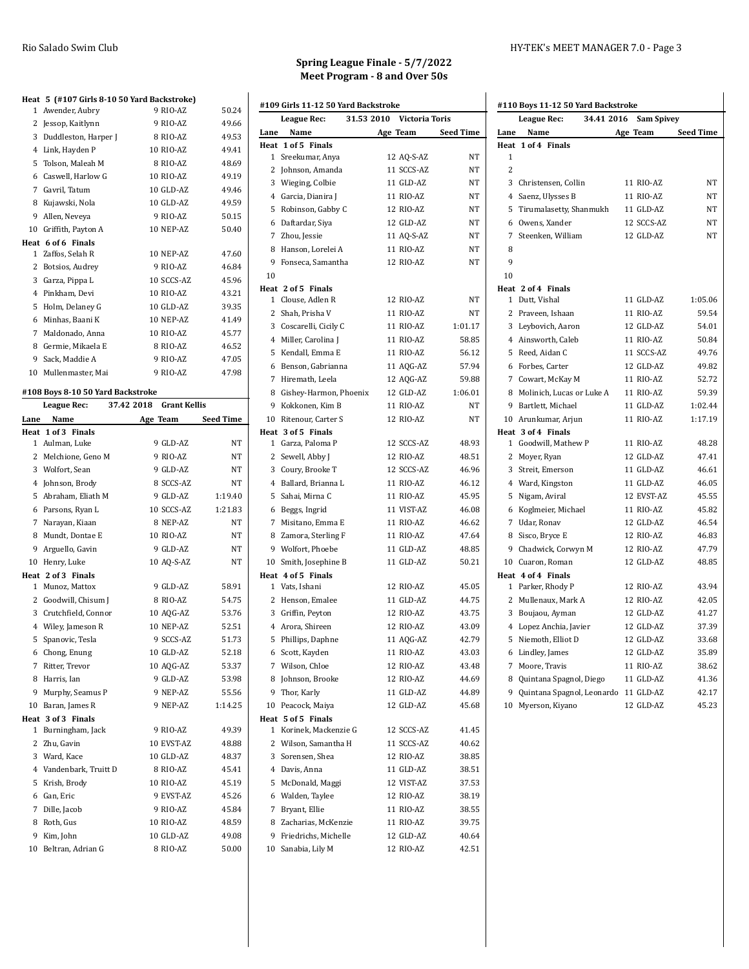|                                   | Heat 5 (#107 Girls 8-10 50 Yard Backstroke) |            |                     |           |
|-----------------------------------|---------------------------------------------|------------|---------------------|-----------|
| 1                                 | Awender, Aubry                              |            | 9 RIO-AZ            | 50.24     |
| $\overline{2}$                    | Jessop, Kaitlynn                            |            | 9 RIO-AZ            | 49.66     |
|                                   | 3 Duddleston, Harper J                      |            | 8 RIO-AZ            | 49.53     |
|                                   | 4 Link, Hayden P                            |            | 10 RIO-AZ           | 49.41     |
|                                   | 5 Tolson, Maleah M                          |            | 8 RIO-AZ            | 48.69     |
|                                   | 6 Caswell, Harlow G                         |            | <b>10 RIO-AZ</b>    | 49.19     |
|                                   | 7 Gavril, Tatum                             |            | 10 GLD-AZ           | 49.46     |
|                                   | 8 Kujawski, Nola                            |            | 10 GLD-AZ           | 49.59     |
| 9                                 | Allen, Neveya                               |            | 9 RIO-AZ            | 50.15     |
|                                   | 10 Griffith, Payton A                       |            | 10 NEP-AZ           | 50.40     |
|                                   | Heat 6 of 6 Finals                          |            |                     |           |
| 1                                 | Zaffos, Selah R                             |            | 10 NEP-AZ           | 47.60     |
|                                   | 2 Botsios, Audrey                           |            | 9 RIO-AZ            | 46.84     |
|                                   | 3 Garza, Pippa L                            |            | 10 SCCS-AZ          | 45.96     |
|                                   | 4 Pinkham, Devi                             |            | 10 RIO-AZ           | 43.21     |
|                                   | 5 Holm, Delaney G                           |            | 10 GLD-AZ           | 39.35     |
|                                   | 6 Minhas, Baani K                           |            | 10 NEP-AZ           | 41.49     |
|                                   | 7 Maldonado, Anna                           |            | 10 RIO-AZ           | 45.77     |
|                                   | 8 Germie, Mikaela E                         |            | 8 RIO-AZ            | 46.52     |
| 9                                 | Sack, Maddie A                              |            | 9 RIO-AZ            | 47.05     |
|                                   | 10 Mullenmaster, Mai                        |            | 9 RIO-AZ            | 47.98     |
|                                   |                                             |            |                     |           |
| #108 Boys 8-10 50 Yard Backstroke |                                             |            |                     |           |
|                                   |                                             |            |                     |           |
|                                   | League Rec:                                 | 37.42 2018 | <b>Grant Kellis</b> |           |
| Lane                              | Name                                        | Age Team   |                     | Seed Time |
|                                   | Heat 1 of 3 Finals                          |            |                     |           |
|                                   | 1 Aulman, Luke                              |            | 9 GLD-AZ            | NT        |
|                                   | 2 Melchione, Geno M                         |            | 9 RIO-AZ            | NT        |
|                                   | 3 Wolfort, Sean                             |            | 9 GLD-AZ            | NT        |
|                                   | 4 Johnson, Brody                            |            | 8 SCCS-AZ           | NT        |
| 5                                 | Abraham, Eliath M                           |            | 9 GLD-AZ            | 1:19.40   |
|                                   | 6 Parsons, Ryan L                           |            | 10 SCCS-AZ          | 1:21.83   |
|                                   | 7 Narayan, Kiaan                            |            | 8 NEP-AZ            | NΤ        |
|                                   | 8 Mundt, Dontae E                           |            | 10 RIO-AZ           | NT        |
|                                   | 9 Arguello, Gavin                           |            | 9 GLD-AZ            | NT        |
|                                   | 10 Henry, Luke                              |            | 10 AQ-S-AZ          | <b>NT</b> |
|                                   | Heat 2 of 3 Finals                          |            |                     |           |
| 1                                 | Munoz, Mattox                               |            | 9 GLD-AZ            | 58.91     |
|                                   | 2 Goodwill, Chisum J                        |            | 8 RIO-AZ            | 54.75     |
|                                   | 3 Crutchfield, Connor                       |            | 10 AQG-AZ           | 53.76     |
|                                   | 4 Wiley, Jameson R                          |            | 10 NEP-AZ           | 52.51     |
| 5                                 | Spanovic, Tesla                             |            | 9 SCCS-AZ           | 51.73     |
|                                   | 6 Chong, Enung                              |            | 10 GLD-AZ           | 52.18     |
| 7                                 | Ritter, Trevor                              |            | 10 AQG-AZ           | 53.37     |
|                                   | 8 Harris, Ian                               |            | 9 GLD-AZ            | 53.98     |
| 9                                 | Murphy, Seamus P                            |            | 9 NEP-AZ            | 55.56     |

**Heat 3 of 3 Finals**

 Burningham, Jack 9 RIO-AZ 49.39 Zhu, Gavin 10 EVST-AZ 48.88 Ward, Kace 10 GLD-AZ 48.37 4 Vandenbark, Truitt D 8 RIO-AZ 45.41 Krish, Brody 10 RIO-AZ 45.19 Gan, Eric 9 EVST-AZ 45.26 Dille, Jacob 9 RIO-AZ 45.84 Roth, Gus 10 RIO-AZ 48.59 Kim, John 10 GLD-AZ 49.08 10 Beltran, Adrian G 8 RIO-AZ 50.00

| Spring League Finale - 5/7/2022 |
|---------------------------------|
| Meet Program - 8 and Over 50s   |

|      | #109 Girls 11-12 50 Yard Backstroke |                           |                  |
|------|-------------------------------------|---------------------------|------------------|
|      | League Rec:                         | 31.53 2010 Victoria Toris |                  |
| Lane | Name                                | Age Team                  | <b>Seed Time</b> |
|      | Heat 1 of 5 Finals                  |                           |                  |
|      | 1 Sreekumar, Anya                   | 12 AQ-S-AZ                | ΝT               |
|      | 2 Johnson, Amanda                   | 11 SCCS-AZ                | NT               |
|      | 3 Wieging, Colbie                   | 11 GLD-AZ                 | NT               |
|      | 4 Garcia, Dianira J                 | 11 RIO-AZ                 | NT               |
|      | 5 Robinson, Gabby C                 | 12 RIO-AZ                 | NT               |
|      | 6 Daftardar, Siya                   | 12 GLD-AZ                 | <b>NT</b>        |
|      | 7 Zhou, Jessie                      | 11 AQ-S-AZ                | NT               |
|      | 8 Hanson, Lorelei A                 | 11 RIO-AZ                 | NT               |
|      | 9 Fonseca, Samantha                 | 12 RIO-AZ                 | NT               |
| 10   |                                     |                           |                  |
|      | Heat 2 of 5 Finals                  |                           |                  |
|      | 1 Clouse, Adlen R                   | 12 RIO-AZ                 | NT               |
|      | 2 Shah, Prisha V                    | 11 RIO-AZ                 | NT               |
|      | 3 Coscarelli, Cicily C              | 11 RIO-AZ                 | 1:01.17          |
|      | 4 Miller, Carolina J                | 11 RIO-AZ                 | 58.85            |
|      | 5 Kendall, Emma E                   | 11 RIO-AZ                 | 56.12            |
|      | 6 Benson, Gabrianna                 | 11 AQG-AZ                 | 57.94            |
|      | 7 Hiremath, Leela                   | 12 AQG-AZ                 | 59.88            |
|      | 8 Gishey-Harmon, Phoenix            | 12 GLD-AZ                 | 1:06.01          |
|      | 9 Kokkonen, Kim B                   | 11 RIO-AZ                 | NT               |
|      | 10 Ritenour, Carter S               | 12 RIO-AZ                 | NT               |
|      | Heat 3 of 5 Finals                  |                           |                  |
|      | 1 Garza, Paloma P                   | 12 SCCS-AZ                | 48.93            |
|      | 2 Sewell, Abby J                    | 12 RIO-AZ                 | 48.51            |
|      | 3 Coury, Brooke T                   | 12 SCCS-AZ                | 46.96            |
|      | 4 Ballard, Brianna L                | 11 RIO-AZ                 | 46.12            |
|      | 5 Sahai, Mirna C                    | 11 RIO-AZ                 | 45.95            |
|      | 6 Beggs, Ingrid                     | 11 VIST-AZ                | 46.08            |
|      | 7 Misitano, Emma E                  | 11 RIO-AZ                 | 46.62            |
|      | 8 Zamora, Sterling F                | 11 RIO-AZ                 | 47.64            |
|      | 9 Wolfort, Phoebe                   | 11 GLD-AZ                 | 48.85            |
|      | 10 Smith, Josephine B               | 11 GLD-AZ                 | 50.21            |
|      | Heat 4 of 5 Finals                  |                           |                  |
|      | 1 Vats, Ishani                      | 12 RIO-AZ                 | 45.05            |
|      | 2 Henson, Emalee                    | 11 GLD-AZ                 | 44.75            |
|      | 3 Griffin, Peyton                   | 12 RIO-AZ                 | 43.75            |
|      | 4 Arora, Shireen                    | 12 RIO-AZ                 | 43.09            |
| 5    | Phillips, Daphne                    | 11 AQG-AZ                 | 42.79            |
|      | 6 Scott, Kayden                     | 11 RIO-AZ                 | 43.03            |
|      | 7 Wilson, Chloe                     | 12 RIO-AZ                 | 43.48            |
|      | 8 Johnson, Brooke                   | 12 RIO-AZ                 | 44.69            |
|      | 9 Thor, Karly                       | 11 GLD-AZ                 | 44.89            |
|      | 10 Peacock, Maiya                   | 12 GLD-AZ                 | 45.68            |
|      | Heat 5 of 5 Finals                  |                           |                  |
| 1    | Korinek, Mackenzie G                | 12 SCCS-AZ                | 41.45            |
|      | 2 Wilson, Samantha H                | 11 SCCS-AZ                | 40.62            |
|      | 3 Sorensen, Shea                    | 12 RIO-AZ                 | 38.85            |
|      | 4 Davis, Anna                       | 11 GLD-AZ                 | 38.51            |
|      | 5 McDonald, Maggi                   | 12 VIST-AZ                | 37.53            |
|      | 6 Walden, Taylee                    | 12 RIO-AZ                 | 38.19            |
|      | 7 Bryant, Ellie                     | 11 RIO-AZ                 | 38.55            |
|      |                                     |                           |                  |
|      | 8 Zacharias, McKenzie               | 11 RIO-AZ                 | 39.75            |
|      | 9 Friedrichs, Michelle              | 12 GLD-AZ                 | 40.64            |
|      | 10 Sanabia, Lily M                  | 12 RIO-AZ                 | 42.51            |

|                | League Rec:<br>34.41 2016    | <b>Sam Spivey</b> |           |
|----------------|------------------------------|-------------------|-----------|
| Lane           | Name                         | Age Team          | Seed Time |
|                | Heat 1 of 4 Finals           |                   |           |
| 1              |                              |                   |           |
| $\overline{2}$ |                              |                   |           |
|                | 3 Christensen, Collin        | 11 RIO-AZ         | NT        |
|                | 4 Saenz, Ulysses B           | 11 RIO-AZ         | NT        |
|                | 5 Tirumalasetty, Shanmukh    | 11 GLD-AZ         | NT        |
|                | 6 Owens, Xander              | 12 SCCS-AZ        | NΤ        |
|                | 7 Steenken, William          | 12 GLD-AZ         | NT        |
| 8              |                              |                   |           |
| 9              |                              |                   |           |
| 10             |                              |                   |           |
|                | Heat 2 of 4 Finals           |                   |           |
|                | 1 Dutt, Vishal               | 11 GLD-AZ         | 1:05.06   |
|                | 2 Praveen, Ishaan            | 11 RIO-AZ         | 59.54     |
|                | 3 Leybovich, Aaron           | 12 GLD-AZ         | 54.01     |
|                | 4 Ainsworth, Caleb           | 11 RIO-AZ         | 50.84     |
|                | 5 Reed, Aidan C              | 11 SCCS-AZ        | 49.76     |
|                | 6 Forbes, Carter             | 12 GLD-AZ         | 49.82     |
|                | 7 Cowart, McKay M            | 11 RIO-AZ         | 52.72     |
|                | 8 Molinich, Lucas or Luke A  | 11 RIO-AZ         | 59.39     |
|                | 9 Bartlett, Michael          | 11 GLD-AZ         | 1:02.44   |
|                | 10 Arunkumar, Arjun          | 11 RIO-AZ         | 1:17.19   |
|                | Heat 3 of 4 Finals           |                   |           |
|                | 1 Goodwill, Mathew P         | 11 RIO-AZ         | 48.28     |
|                | 2 Moyer, Ryan                | 12 GLD-AZ         | 47.41     |
|                | 3 Streit, Emerson            | 11 GLD-AZ         | 46.61     |
|                | 4 Ward, Kingston             | 11 GLD-AZ         | 46.05     |
|                | 5 Nigam, Aviral              | 12 EVST-AZ        | 45.55     |
|                | 6 Koglmeier, Michael         | 11 RIO-AZ         | 45.82     |
|                | 7 Udar, Ronav                | 12 GLD-AZ         | 46.54     |
|                | 8 Sisco, Bryce E             | 12 RIO-AZ         | 46.83     |
|                | 9 Chadwick, Corwyn M         | 12 RIO-AZ         | 47.79     |
|                | 10 Cuaron, Roman             | 12 GLD-AZ         | 48.85     |
|                | Heat 4 of 4 Finals           |                   |           |
|                | 1 Parker, Rhody P            | 12 RIO-AZ         | 43.94     |
|                | 2 Mullenaux, Mark A          | 12 RIO-AZ         | 42.05     |
|                | 3 Boujaou, Ayman             | 12 GLD-AZ         | 41.27     |
|                | 4 Lopez Anchia, Javier       | 12 GLD-AZ         | 37.39     |
|                | 5 Niemoth, Elliot D          | 12 GLD-AZ         | 33.68     |
|                | 6 Lindley, James             | 12 GLD-AZ         | 35.89     |
|                | 7 Moore, Travis              | 11 RIO-AZ         | 38.62     |
|                | 8 Quintana Spagnol, Diego    | 11 GLD-AZ         | 41.36     |
|                | 9 Quintana Spagnol, Leonardo | 11 GLD-AZ         | 42.17     |
|                | 10 Myerson, Kiyano           | 12 GLD-AZ         | 45.23     |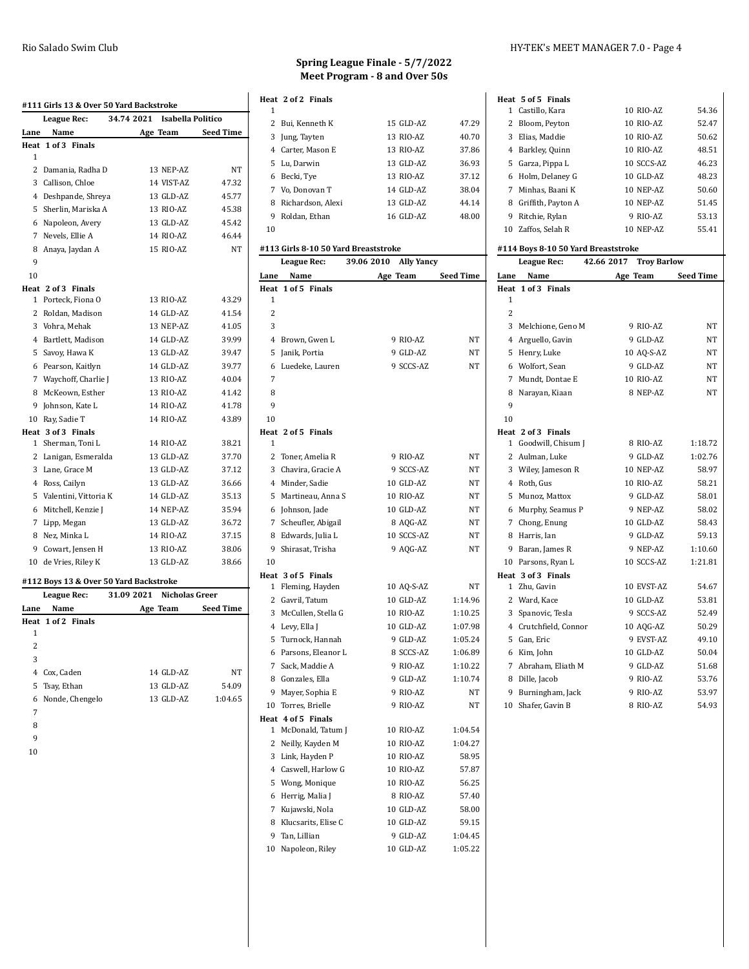|                | #111 Girls 13 & Over 50 Yard Backstroke |                              |            |                    |
|----------------|-----------------------------------------|------------------------------|------------|--------------------|
|                | League Rec:                             | 34.74 2021 Isabella Politico |            |                    |
| Lane           | Name                                    |                              | Age Team   | <b>Seed Time</b>   |
|                | Heat 1 of 3 Finals                      |                              |            |                    |
| 1              |                                         |                              |            |                    |
| $\overline{2}$ | Damania, Radha D                        |                              | 13 NEP-AZ  | NT                 |
| 3              | Callison, Chloe                         |                              | 14 VIST-AZ | 47.32              |
|                | 4 Deshpande, Shreya                     |                              | 13 GLD-AZ  | 45.77              |
| 5              | Sherlin, Mariska A                      |                              | 13 RIO-AZ  | 45.38              |
| 6              | Napoleon, Avery                         |                              | 13 GLD-AZ  | 45.42              |
|                | 7 Nevels, Ellie A                       |                              | 14 RIO-AZ  | 46.44              |
| 8              | Anaya, Jaydan A                         |                              | 15 RIO-AZ  | NT                 |
| 9              |                                         |                              |            |                    |
| 10             |                                         |                              |            |                    |
|                | Heat 2 of 3 Finals                      |                              |            |                    |
| $\mathbf{1}$   | Porteck, Fiona O                        |                              | 13 RIO-AZ  | 43.29              |
|                | 2 Roldan, Madison                       |                              | 14 GLD-AZ  | 41.54              |
|                | 3 Vohra, Mehak                          |                              | 13 NEP-AZ  | 41.05              |
| 4              | Bartlett, Madison                       |                              | 14 GLD-AZ  | 39.99              |
| 5              | Savoy, Hawa K                           |                              | 13 GLD-AZ  | 39.47              |
|                | 6 Pearson, Kaitlyn                      |                              | 14 GLD-AZ  | 39.77              |
|                | 7 Waychoff, Charlie J                   |                              | 13 RIO-AZ  | 40.04              |
| 8              | McKeown, Esther                         |                              | 13 RIO-AZ  | 41.42              |
| 9              | Johnson, Kate L                         |                              | 14 RIO-AZ  | 41.78              |
| 10             | Ray, Sadie T                            |                              | 14 RIO-AZ  | 43.89              |
|                | Heat 3 of 3 Finals                      |                              |            |                    |
| $\mathbf{1}$   | Sherman, Toni L                         |                              | 14 RIO-AZ  | 38.21              |
|                | 2 Lanigan, Esmeralda                    |                              | 13 GLD-AZ  | 37.70              |
| 3              | Lane, Grace M                           |                              | 13 GLD-AZ  | 37.12              |
|                | 4 Ross, Cailyn                          |                              | 13 GLD-AZ  | 36.66              |
| 5              | Valentini, Vittoria K                   |                              | 14 GLD-AZ  | 35.13              |
| 6              | Mitchell, Kenzie J                      |                              | 14 NEP-AZ  | 35.94              |
|                | 7 Lipp, Megan                           |                              | 13 GLD-AZ  | 36.72              |
| 8              | Nez, Minka L                            |                              | 14 RIO-AZ  | 37.15              |
| 9              | Cowart, Jensen H                        |                              | 13 RIO-AZ  | 38.06              |
|                | 10 de Vries, Riley K                    |                              | 13 GLD-AZ  | 38.66              |
|                | #112 Boys 13 & Over 50 Yard Backstroke  |                              |            |                    |
|                | League Rec:                             | 31.09 2021 Nicholas Greer    |            |                    |
|                | Lane Name                               |                              |            | Age Team Seed Time |

|      | <b>DUACAU INCU</b> | JIN JAVAI | nuunas ureer |                  |
|------|--------------------|-----------|--------------|------------------|
| Lane | Name               |           | Age Team     | <b>Seed Time</b> |
|      | Heat 1 of 2 Finals |           |              |                  |
| 1    |                    |           |              |                  |
| 2    |                    |           |              |                  |
| 3    |                    |           |              |                  |
|      | 4 Cox, Caden       |           | 14 GLD-AZ    | NT               |
|      | 5 Tsay, Ethan      |           | 13 GLD-AZ    | 54.09            |
|      | 6 Nonde, Chengelo  |           | 13 GLD-AZ    | 1:04.65          |
| 7    |                    |           |              |                  |
| 8    |                    |           |              |                  |
| 9    |                    |           |              |                  |

#### **Spring League Finale - 5/7/2022 Meet Program - 8 and Over 50s**

|    | Heat 2 of 2 Finals |           |       |
|----|--------------------|-----------|-------|
| 1  |                    |           |       |
|    | 2 Bui. Kenneth K   | 15 GLD-AZ | 47.29 |
|    | 3 Jung, Tayten     | 13 RIO-AZ | 40.70 |
|    | 4 Carter. Mason E  | 13 RIO-AZ | 37.86 |
|    | 5 Lu, Darwin       | 13 GLD-AZ | 36.93 |
|    | 6 Becki, Tye       | 13 RIO-AZ | 37.12 |
|    | 7 Vo. Donovan T    | 14 GLD-AZ | 38.04 |
| 8  | Richardson, Alexi  | 13 GLD-AZ | 44.14 |
| 9  | Roldan, Ethan      | 16 GLD-AZ | 48.00 |
| 10 |                    |           |       |

# **#113 Girls 8-10 50 Yard Breaststroke**

| League Rec:                        | 39.06 2010 | <b>Ally Yancy</b> |                  |
|------------------------------------|------------|-------------------|------------------|
| Name<br>Lane                       |            | Age Team          | <b>Seed Time</b> |
| Heat 1 of 5 Finals                 |            |                   |                  |
| 1                                  |            |                   |                  |
| $\overline{2}$                     |            |                   |                  |
| 3                                  |            |                   |                  |
| $\overline{4}$<br>Brown, Gwen L    |            | 9 RIO-AZ          | NT               |
| 5<br>Janik, Portia                 |            | 9 GLD-AZ          | NΤ               |
| Luedeke, Lauren<br>6               |            | 9 SCCS-AZ         | NT               |
| 7                                  |            |                   |                  |
| 8                                  |            |                   |                  |
| 9                                  |            |                   |                  |
| 10                                 |            |                   |                  |
| Heat 2 of 5 Finals                 |            |                   |                  |
| 1                                  |            |                   |                  |
| $\overline{2}$<br>Toner, Amelia R  |            | 9 RIO-AZ          | NT               |
| 3<br>Chavira, Gracie A             |            | 9 SCCS-AZ         | NT               |
| 4 Minder, Sadie                    |            | 10 GLD-AZ         | NT               |
| 5<br>Martineau, Anna S             |            | 10 RIO-AZ         | NT               |
| Johnson, Jade<br>6                 |            | 10 GLD-AZ         | NT               |
| 7<br>Scheufler, Abigail            |            | 8 AQG-AZ          | NT               |
| Edwards, Julia L<br>8              |            | 10 SCCS-AZ        | NT               |
| 9<br>Shirasat, Trisha              |            | 9 AQG-AZ          | NT               |
| 10                                 |            |                   |                  |
| Heat 3 of 5 Finals                 |            |                   |                  |
| Fleming, Hayden<br>1               |            | 10 AQ-S-AZ        | NT               |
| 2 Gavril, Tatum                    |            | 10 GLD-AZ         | 1:14.96          |
| 3<br>McCullen, Stella G            |            | 10 RIO-AZ         | 1:10.25          |
| 4 Levy, Ella J                     |            | 10 GLD-AZ         | 1:07.98          |
| 5<br>Turnock, Hannah               |            | 9 GLD-AZ          | 1:05.24          |
| 6<br>Parsons, Eleanor L            |            | 8 SCCS-AZ         | 1:06.89          |
| 7 Sack, Maddie A                   |            | 9 RIO-AZ          | 1:10.22          |
| 8 Gonzales, Ella                   |            | 9 GLD-AZ          | 1:10.74          |
| 9<br>Mayer, Sophia E               |            | 9 RIO-AZ          | NT               |
| 10 Torres, Brielle                 |            | 9 RIO-AZ          | NT               |
| Heat 4 of 5 Finals                 |            |                   |                  |
| McDonald, Tatum J<br>$\mathbf{1}$  |            | 10 RIO-AZ         | 1:04.54          |
| $\overline{2}$<br>Neilly, Kayden M |            | 10 RIO-AZ         | 1:04.27          |
| 3<br>Link, Hayden P                |            | 10 RIO-AZ         | 58.95            |
| 4 Caswell, Harlow G                |            | 10 RIO-AZ         | 57.87            |
| 5<br>Wong, Monique                 |            | 10 RIO-AZ         | 56.25            |
| Herrig, Malia J<br>6               |            | 8 RIO-AZ          | 57.40            |
| 7 Kujawski, Nola                   |            | 10 GLD-AZ         | 58.00            |
| Klucsarits, Elise C<br>8           |            | 10 GLD-AZ         | 59.15            |
| 9<br>Tan, Lillian                  |            | 9 GLD-AZ          | 1:04.45          |
| Napoleon, Riley<br>10              |            | 10 GLD-AZ         | 1:05.22          |

### Rio Salado Swim Club **HY-TEK's MEET MANAGER 7.0** - Page 4

|      | Heat 5 of 5 Finals                  |                        |                  |
|------|-------------------------------------|------------------------|------------------|
| 1    | Castillo, Kara                      | 10 RIO-AZ              | 54.36            |
| 2    | Bloom, Peyton                       | 10 RIO-AZ              | 52.47            |
| 3    | Elias, Maddie                       | 10 RIO-AZ              | 50.62            |
| 4    | Barkley, Quinn                      | 10 RIO-AZ              | 48.51            |
| 5    | Garza, Pippa L                      | 10 SCCS-AZ             | 46.23            |
| 6    | Holm, Delaney G                     | 10 GLD-AZ              | 48.23            |
| 7    | Minhas, Baani K                     | 10 NEP-AZ              | 50.60            |
| 8    | Griffith, Payton A                  | 10 NEP-AZ              | 51.45            |
| 9    | Ritchie, Rylan                      | 9 RIO-AZ               | 53.13            |
|      | 10 Zaffos, Selah R                  | 10 NEP-AZ              | 55.41            |
|      |                                     |                        |                  |
|      | #114 Boys 8-10 50 Yard Breaststroke |                        |                  |
|      | League Rec:                         | 42.66 2017 Troy Barlow |                  |
| Lane | Name                                | Age Team               | <b>Seed Time</b> |
|      | Heat 1 of 3 Finals                  |                        |                  |
| 1    |                                     |                        |                  |
| 2    |                                     |                        |                  |
| 3    | Melchione, Geno M                   | 9 RIO-AZ               | NT               |
| 4    | Arguello, Gavin                     | 9 GLD-AZ               | NT               |
| 5    | Henry, Luke                         | 10 AQ-S-AZ             | NT               |

| ÷            | Alguello, Gavill    | 7 GLD-AL   | IV 1    |
|--------------|---------------------|------------|---------|
| 5            | Henry, Luke         | 10 AQ-S-AZ | NT      |
|              | 6 Wolfort, Sean     | 9 GLD-AZ   | NT.     |
| 7            | Mundt, Dontae E     | 10 RIO-AZ  | NT.     |
| 8            | Narayan, Kiaan      | 8 NEP-AZ   | NT.     |
| 9            |                     |            |         |
| 10           |                     |            |         |
|              | Heat 2 of 3 Finals  |            |         |
| $\mathbf{1}$ | Goodwill, Chisum J  | 8 RIO-AZ   | 1:18.72 |
|              | 2 Aulman, Luke      | 9 GLD-AZ   | 1:02.76 |
|              | 3 Wiley, Jameson R  | 10 NEP-AZ  | 58.97   |
| 4            | Roth, Gus           | 10 RIO-AZ  | 58.21   |
| 5            | Munoz, Mattox       | 9 GLD-AZ   | 58.01   |
| 6            | Murphy, Seamus P    | 9 NEP-AZ   | 58.02   |
| 7            | Chong, Enung        | 10 GLD-AZ  | 58.43   |
| 8            | Harris, Ian         | 9 GLD-AZ   | 59.13   |
| 9            | Baran, James R      | 9 NEP-AZ   | 1:10.60 |
|              | 10 Parsons, Ryan L  | 10 SCCS-AZ | 1:21.81 |
|              | Heat 3 of 3 Finals  |            |         |
| 1            | Zhu, Gavin          | 10 EVST-AZ | 54.67   |
| 2            | Ward, Kace          | 10 GLD-AZ  | 53.81   |
| 3            | Spanovic, Tesla     | 9 SCCS-AZ  | 52.49   |
| 4            | Crutchfield, Connor | 10 AQG-AZ  | 50.29   |
| 5            | Gan, Eric           | 9 EVST-AZ  | 49.10   |
| 6            | Kim, John           | 10 GLD-AZ  | 50.04   |
| 7            | Abraham, Eliath M   | 9 GLD-AZ   | 51.68   |
| 8            | Dille, Jacob        | 9 RIO-AZ   | 53.76   |
| 9            | Burningham, Jack    | 9 RIO-AZ   | 53.97   |
| 10           | Shafer, Gavin B     | 8 RIO-AZ   | 54.93   |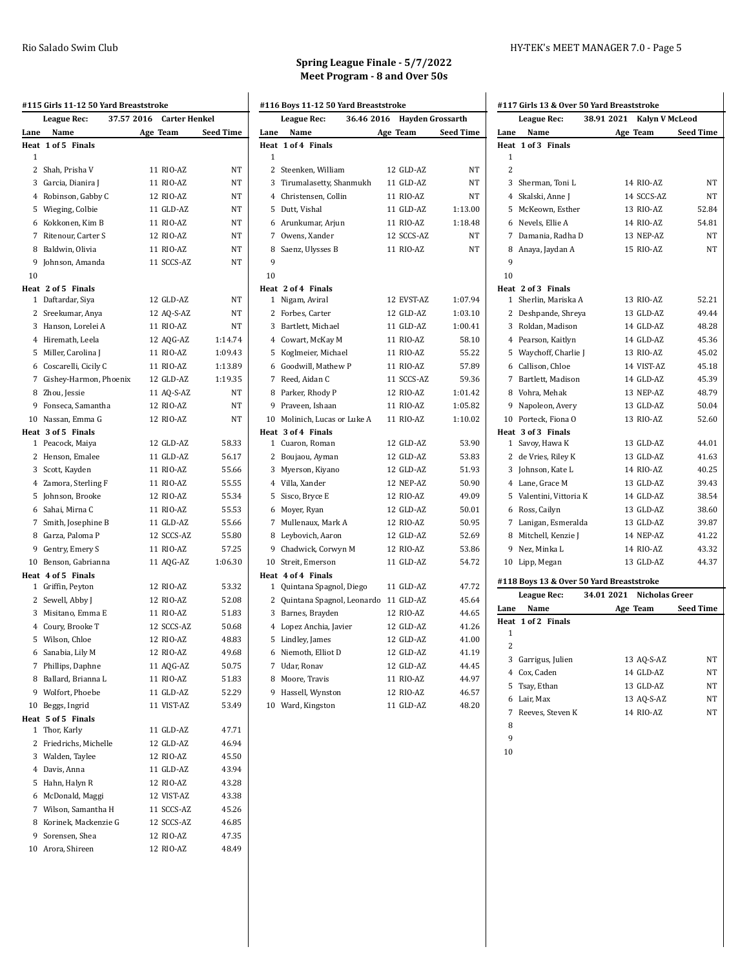|      | <b>League Rec:</b>       | 37.57 2016 Carter Henkel |           |
|------|--------------------------|--------------------------|-----------|
| Lane | Name                     | Age Team                 | Seed Time |
| Heat | 1 of 5 Finals            |                          |           |
| 1    |                          |                          |           |
|      | 2 Shah, Prisha V         | 11 RIO-AZ                | NT        |
|      | 3 Garcia, Dianira J      | 11 RIO-AZ                | NT        |
|      | 4 Robinson, Gabby C      | 12 RIO-AZ                | NT        |
|      | 5 Wieging, Colbie        | 11 GLD-AZ                | NT        |
|      | 6 Kokkonen, Kim B        | 11 RIO-AZ                | NT        |
|      | 7 Ritenour, Carter S     | 12 RIO-AZ                | NT        |
|      | 8 Baldwin, Olivia        | 11 RIO-AZ                | NT        |
|      | 9 Johnson, Amanda        | 11 SCCS-AZ               | NT        |
| 10   |                          |                          |           |
|      | Heat 2 of 5 Finals       |                          |           |
|      | 1 Daftardar, Siya        | 12 GLD-AZ                | NT        |
|      | 2 Sreekumar, Anya        | 12 AQ-S-AZ               | NT        |
|      | 3 Hanson, Lorelei A      | 11 RIO-AZ                | NT        |
|      | 4 Hiremath, Leela        | 12 AQG-AZ                | 1:14.74   |
|      | 5 Miller, Carolina J     | 11 RIO-AZ                | 1:09.43   |
|      | 6 Coscarelli, Cicily C   | 11 RIO-AZ                | 1:13.89   |
|      | 7 Gishey-Harmon, Phoenix | 12 GLD-AZ                | 1:19.35   |
|      | 8 Zhou, Jessie           | 11 AQ-S-AZ               | NT        |
|      | 9 Fonseca, Samantha      | 12 RIO-AZ                | <b>NT</b> |
|      | 10 Nassan, Emma G        | 12 RIO-AZ                | NT        |
|      | Heat 3 of 5 Finals       |                          |           |
|      | 1 Peacock, Maiya         | 12 GLD-AZ                | 58.33     |
|      | 2 Henson, Emalee         | 11 GLD-AZ                | 56.17     |
|      | 3 Scott, Kayden          | 11 RIO-AZ                | 55.66     |
|      | 4 Zamora, Sterling F     | 11 RIO-AZ                | 55.55     |
|      | 5 Johnson, Brooke        | 12 RIO-AZ                | 55.34     |
|      | 6 Sahai, Mirna C         | 11 RIO-AZ                | 55.53     |
|      | 7 Smith, Josephine B     | 11 GLD-AZ                | 55.66     |
|      | 8 Garza, Paloma P        | 12 SCCS-AZ               | 55.80     |
|      | 9 Gentry, Emery S        | 11 RIO-AZ                | 57.25     |
|      | 10 Benson, Gabrianna     | 11 AQG-AZ                | 1:06.30   |
|      | Heat 4 of 5 Finals       |                          |           |
|      | 1 Griffin, Peyton        | 12 RIO-AZ                | 53.32     |
|      | 2 Sewell, Abby J         | 12 RIO-AZ                | 52.08     |
|      | 3 Misitano, Emma E       | 11 RIO-AZ                | 51.83     |
|      | 4 Coury, Brooke T        | 12 SCCS-AZ               | 50.68     |
|      | 5 Wilson, Chloe          | 12 RIO-AZ                | 48.83     |
|      | 6 Sanabia, Lily M        | 12 RIO-AZ                | 49.68     |
|      | 7 Phillips, Daphne       | 11 AQG-AZ                | 50.75     |
|      | 8 Ballard, Brianna L     | 11 RIO-AZ                | 51.83     |
|      | 9 Wolfort, Phoebe        | 11 GLD-AZ                | 52.29     |
|      | 10 Beggs, Ingrid         | 11 VIST-AZ               | 53.49     |
|      | Heat 5 of 5 Finals       |                          | 47.71     |
|      | 1 Thor, Karly            | 11 GLD-AZ                |           |
|      | 2 Friedrichs, Michelle   | 12 GLD-AZ                | 46.94     |
|      | 3 Walden, Taylee         | 12 RIO-AZ                | 45.50     |
|      | 4 Davis, Anna            | 11 GLD-AZ                | 43.94     |
|      | 5 Hahn, Halyn R          | 12 RIO-AZ                | 43.28     |
|      | 6 McDonald, Maggi        | 12 VIST-AZ               | 43.38     |
|      | 7 Wilson, Samantha H     | 11 SCCS-AZ               | 45.26     |
|      | 8 Korinek, Mackenzie G   | 12 SCCS-AZ               | 46.85     |
|      | 9 Sorensen, Shea         | 12 RIO-AZ                | 47.35     |
|      | 10 Arora, Shireen        | 12 RIO-AZ                | 48.49     |

|              | #116 Boys 11-12 50 Yard Breaststroke<br>League Rec: | 36.46 2016 Hayden Grossarth |                  |
|--------------|-----------------------------------------------------|-----------------------------|------------------|
|              |                                                     |                             |                  |
| Lane         | Name                                                | Age Team                    | <b>Seed Time</b> |
| 1            | Heat 1 of 4 Finals                                  |                             |                  |
|              |                                                     |                             |                  |
|              | 2 Steenken, William                                 | 12 GLD-AZ                   | NT<br>NT         |
|              | 3 Tirumalasetty, Shanmukh<br>4 Christensen, Collin  | 11 GLD-AZ                   | NT               |
| 5            |                                                     | 11 RIO-AZ<br>11 GLD-AZ      | 1:13.00          |
|              | Dutt, Vishal                                        | 11 RIO-AZ                   | 1:18.48          |
|              | 6 Arunkumar, Arjun<br>7 Owens, Xander               | 12 SCCS-AZ                  | NT               |
| 8            | Saenz, Ulysses B                                    | 11 RIO-AZ                   | NT               |
| 9            |                                                     |                             |                  |
| 10           |                                                     |                             |                  |
|              | Heat 2 of 4 Finals                                  |                             |                  |
| 1            | Nigam, Aviral                                       | 12 EVST-AZ                  | 1:07.94          |
|              | 2 Forbes, Carter                                    | 12 GLD-AZ                   | 1:03.10          |
|              | 3 Bartlett, Michael                                 | 11 GLD-AZ                   | 1:00.41          |
|              | 4 Cowart, McKay M                                   | 11 RIO-AZ                   | 58.10            |
| 5            | Koglmeier, Michael                                  | 11 RIO-AZ                   | 55.22            |
| 6            | Goodwill, Mathew P                                  | 11 RIO-AZ                   | 57.89            |
|              | 7 Reed, Aidan C                                     | 11 SCCS-AZ                  | 59.36            |
|              | 8 Parker, Rhody P                                   | 12 RIO-AZ                   | 1:01.42          |
| 9            | Praveen, Ishaan                                     | 11 RIO-AZ                   | 1:05.82          |
|              | 10 Molinich, Lucas or Luke A                        | 11 RIO-AZ                   | 1:10.02          |
|              | Heat 3 of 4 Finals                                  |                             |                  |
| 1            | Cuaron, Roman                                       | 12 GLD-AZ                   | 53.90            |
|              | 2 Boujaou, Ayman                                    | 12 GLD-AZ                   | 53.83            |
|              | 3 Myerson, Kiyano                                   | 12 GLD-AZ                   | 51.93            |
|              | 4 Villa, Xander                                     | 12 NEP-AZ                   | 50.90            |
| 5            | Sisco, Bryce E                                      | 12 RIO-AZ                   | 49.09            |
|              | 6 Moyer, Ryan                                       | 12 GLD-AZ                   | 50.01            |
|              | 7 Mullenaux, Mark A                                 | 12 RIO-AZ                   | 50.95            |
| 8            | Leybovich, Aaron                                    | 12 GLD-AZ                   | 52.69            |
| 9            | Chadwick, Corwyn M                                  | 12 RIO-AZ                   | 53.86            |
|              | 10 Streit, Emerson                                  | 11 GLD-AZ                   | 54.72            |
|              | Heat 4 of 4 Finals                                  |                             |                  |
| $\mathbf{1}$ | Quintana Spagnol, Diego                             | 11 GLD-AZ                   | 47.72            |
|              | 2 Quintana Spagnol, Leonardo 11 GLD-AZ              |                             | 45.64            |
|              | 3 Barnes, Brayden                                   | 12 RIO-AZ                   | 44.65            |
|              | 4 Lopez Anchia, Javier                              | 12 GLD-AZ                   | 41.26            |
|              | 5 Lindley, James                                    | 12 GLD-AZ                   | 41.00            |
| 6            | Niemoth, Elliot D                                   | 12 GLD-AZ                   | 41.19            |
|              | 7 Udar, Ronav                                       | 12 GLD-AZ<br>11 RIO-AZ      | 44.45<br>44.97   |
|              | 8 Moore, Travis                                     | 12 RIO-AZ                   | 46.57            |
| $10\,$       | 9 Hassell, Wynston<br>Ward, Kingston                | 11 GLD-AZ                   | 48.20            |
|              |                                                     |                             |                  |

|                |                       | #117 Girls 13 & Over 50 Yard Breaststroke |                  |
|----------------|-----------------------|-------------------------------------------|------------------|
|                | League Rec:           | 38.91 2021<br><b>Kalyn V McLeod</b>       |                  |
| Lane           | Name                  | Age Team                                  | <b>Seed Time</b> |
| Heat           | 1 of 3 Finals         |                                           |                  |
| 1              |                       |                                           |                  |
| $\overline{c}$ |                       |                                           |                  |
| 3              | Sherman, Toni L       | 14 RIO-AZ                                 | NΤ               |
|                | 4 Skalski, Anne J     | 14 SCCS-AZ                                | NT               |
| 5              | McKeown, Esther       | 13 RIO-AZ                                 | 52.84            |
| 6              | Nevels, Ellie A       | 14 RIO-AZ                                 | 54.81            |
| 7              | Damania, Radha D      | 13 NEP-AZ                                 | NT               |
| 8              | Anaya, Jaydan A       | 15 RIO-AZ                                 | NT               |
| 9              |                       |                                           |                  |
| 10             |                       |                                           |                  |
|                | Heat 2 of 3 Finals    |                                           |                  |
| 1              | Sherlin, Mariska A    | 13 RIO-AZ                                 | 52.21            |
| 2              | Deshpande, Shreya     | 13 GLD-AZ                                 | 49.44            |
| 3              | Roldan, Madison       | 14 GLD-AZ                                 | 48.28            |
|                | 4 Pearson, Kaitlyn    | 14 GLD-AZ                                 | 45.36            |
| 5              | Waychoff, Charlie J   | 13 RIO-AZ                                 | 45.02            |
|                | 6 Callison, Chloe     | 14 VIST-AZ                                | 45.18            |
|                | 7 Bartlett, Madison   | 14 GLD-AZ                                 | 45.39            |
|                | 8 Vohra, Mehak        | <b>13 NEP-AZ</b>                          | 48.79            |
|                | 9 Napoleon, Avery     | 13 GLD-AZ                                 | 50.04            |
|                | 10 Porteck, Fiona O   | 13 RIO-AZ                                 | 52.60            |
|                | Heat 3 of 3 Finals    |                                           |                  |
| 1              | Savoy, Hawa K         | 13 GLD-AZ                                 | 44.01            |
| 2              | de Vries, Riley K     | 13 GLD-AZ                                 | 41.63            |
| 3              | Johnson, Kate L       | 14 RIO-AZ                                 | 40.25            |
|                | 4 Lane, Grace M       | 13 GLD-AZ                                 | 39.43            |
| 5              | Valentini, Vittoria K | 14 GLD-AZ                                 | 38.54            |
| 6              | Ross, Cailyn          | 13 GLD-AZ                                 | 38.60            |
| 7              | Lanigan, Esmeralda    | 13 GLD-AZ                                 | 39.87            |
| 8              | Mitchell, Kenzie J    | 14 NEP-AZ                                 | 41.22            |
|                | 9 Nez, Minka L        | 14 RIO-AZ                                 | 43.32            |
| 10             | Lipp, Megan           | 13 GLD-AZ                                 | 44.37            |
|                |                       |                                           |                  |
|                |                       | #118 Boys 13 & Over 50 Yard Breaststroke  |                  |
|                | League Rec:           | 34.01 2021<br>Nicholas Greer              |                  |
| Lane           | Name                  | Age Team                                  | <b>Seed Time</b> |
|                | Heat 1 of 2 Finals    |                                           |                  |
| 1              |                       |                                           |                  |
| 2              |                       |                                           |                  |
| 3              | Garrigus, Julien      | 13 AQ-S-AZ                                | NΤ               |
| $\overline{4}$ | Cox, Caden            | 14 GLD-AZ                                 | NΤ               |
| 5              | Tsay, Ethan           | 13 GLD-AZ                                 | NT               |
| 6              | Lair, Max             | 13 AO-S-AZ                                | NΤ               |
| 7              | Reeves, Steven K      | 14 RIO-AZ                                 | NΤ               |
| 8              |                       |                                           |                  |
| 9              |                       |                                           |                  |
| 10             |                       |                                           |                  |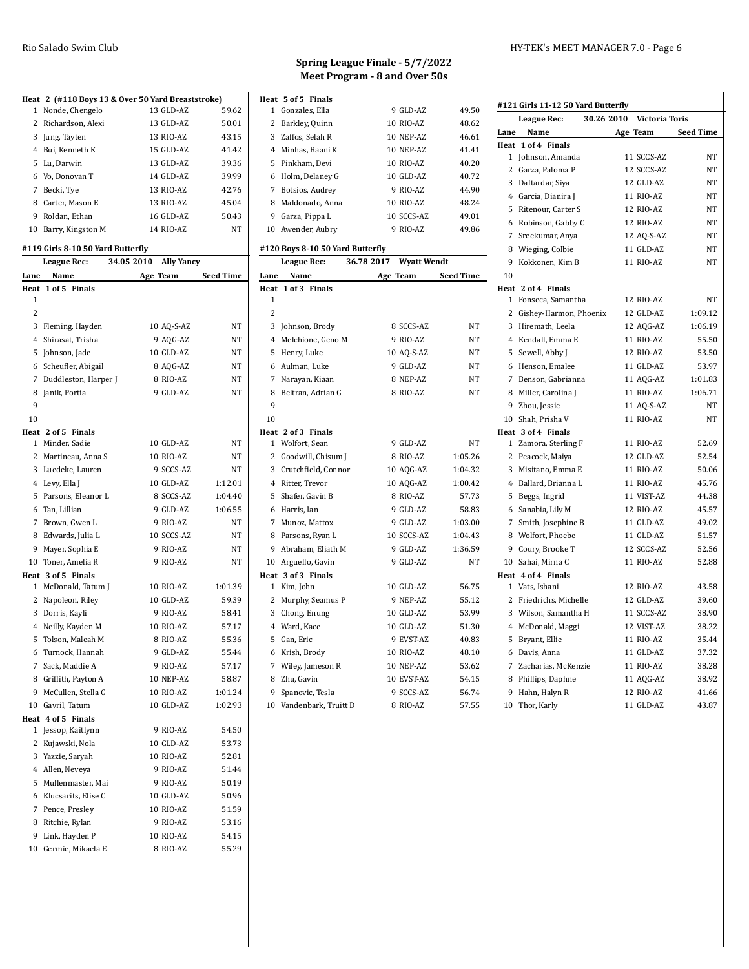#### **Heat 2 (#118 Boys 13 & Over 50 Yard Breaststroke)**<br>1 Nonde, Chengelo<br>13 GLD-AZ 59.62 1 Nonde, Chengelo 2 Richardson, Alexi 13 GLD-AZ 50.01 Jung, Tayten 13 RIO-AZ 43.15 Bui, Kenneth K 15 GLD-AZ 41.42 Lu, Darwin 13 GLD-AZ 39.36

| 6 Vo, Donovan T      | 14 GLD-AZ | 39.99 |
|----------------------|-----------|-------|
| 7 Becki, Tye         | 13 RIO-AZ | 42.76 |
| 8 Carter, Mason E    | 13 RIO-AZ | 45.04 |
| 9 Roldan, Ethan      | 16 GLD-AZ | 50.43 |
| 10 Barry, Kingston M | 14 RIO-AZ | NΤ    |

### **#119 Girls 8-10 50 Yard Butterfly**

|                | League Rec:           | 34.05 2010 | <b>Ally Yancy</b> |                  |
|----------------|-----------------------|------------|-------------------|------------------|
| Lane           | Name                  |            | Age Team          | <b>Seed Time</b> |
|                | Heat 1 of 5 Finals    |            |                   |                  |
| 1              |                       |            |                   |                  |
| 2              |                       |            |                   |                  |
|                | 3 Fleming, Hayden     |            | 10 AQ-S-AZ        | NΤ               |
|                | 4 Shirasat, Trisha    |            | 9 AQG-AZ          | NT               |
|                | 5 Johnson, Jade       |            | 10 GLD-AZ         | NT               |
|                | 6 Scheufler, Abigail  |            | 8 AQG-AZ          | NT               |
| $\overline{7}$ | Duddleston, Harper J  |            | 8 RIO-AZ          | NT               |
| 8              | Janik, Portia         |            | 9 GLD-AZ          | NT               |
| 9              |                       |            |                   |                  |
| 10             |                       |            |                   |                  |
|                | Heat 2 of 5 Finals    |            |                   |                  |
|                | 1 Minder, Sadie       |            | 10 GLD-AZ         | NT               |
|                | 2 Martineau, Anna S   |            | 10 RIO-AZ         | NT               |
|                | 3 Luedeke, Lauren     |            | 9 SCCS-AZ         | NΤ               |
|                | 4 Levy, Ella J        |            | 10 GLD-AZ         | 1:12.01          |
| 5              | Parsons, Eleanor L    |            | 8 SCCS-AZ         | 1:04.40          |
|                | 6 Tan, Lillian        |            | 9 GLD-AZ          | 1:06.55          |
|                | 7 Brown, Gwen L       |            | 9 RIO-AZ          | NT               |
|                | 8 Edwards, Julia L    |            | 10 SCCS-AZ        | NT               |
|                | 9 Mayer, Sophia E     |            | 9 RIO-AZ          | NΤ               |
|                | 10 Toner, Amelia R    |            | 9 RIO-AZ          | NT               |
|                | Heat 3 of 5 Finals    |            |                   |                  |
| $\mathbf{1}$   | McDonald, Tatum J     |            | 10 RIO-AZ         | 1:01.39          |
|                | 2 Napoleon, Riley     |            | 10 GLD-AZ         | 59.39            |
|                | 3 Dorris, Kayli       |            | 9 RIO-AZ          | 58.41            |
|                | 4 Neilly, Kayden M    |            | 10 RIO-AZ         | 57.17            |
| 5              | Tolson, Maleah M      |            | 8 RIO-AZ          | 55.36            |
|                | 6 Turnock, Hannah     |            | 9 GLD-AZ          | 55.44            |
|                | 7 Sack, Maddie A      |            | 9 RIO-AZ          | 57.17            |
|                | 8 Griffith, Payton A  |            | 10 NEP-AZ         | 58.87            |
|                | 9 McCullen, Stella G  |            | 10 RIO-AZ         | 1:01.24          |
|                | 10 Gavril, Tatum      |            | 10 GLD-AZ         | 1:02.93          |
|                | Heat 4 of 5 Finals    |            |                   |                  |
|                | 1 Jessop, Kaitlynn    |            | 9 RIO-AZ          | 54.50            |
|                | 2 Kujawski, Nola      |            | 10 GLD-AZ         | 53.73            |
|                | 3 Yazzie, Saryah      |            | 10 RIO-AZ         | 52.81            |
|                | 4 Allen, Neveya       |            | 9 RIO-AZ          | 51.44            |
|                | 5 Mullenmaster, Mai   |            | 9 RIO-AZ          | 50.19            |
|                | 6 Klucsarits, Elise C |            | 10 GLD-AZ         | 50.96            |
| 7              | Pence, Presley        |            | 10 RIO-AZ         | 51.59            |
|                | 8 Ritchie, Rylan      |            | 9 RIO-AZ          | 53.16            |
| 9              | Link, Hayden P        |            | 10 RIO-AZ         | 54.15            |
|                | 10 Germie, Mikaela E  |            | 8 RIO-AZ          | 55.29            |
|                |                       |            |                   |                  |

### **Spring League Finale - 5/7/2022 Meet Program - 8 and Over 50s**

|    | Heat 5 of 5 Finals |            |       |
|----|--------------------|------------|-------|
| 1. | Gonzales, Ella     | 9 GLD-AZ   | 49.50 |
|    | 2 Barkley, Quinn   | 10 RIO-AZ  | 48.62 |
|    | 3 Zaffos. Selah R  | 10 NEP-AZ  | 46.61 |
|    | 4 Minhas, Baani K  | 10 NEP-AZ  | 41.41 |
|    | 5 Pinkham. Devi    | 10 RIO-AZ  | 40.20 |
|    | 6 Holm, Delaney G  | 10 GLD-AZ  | 40.72 |
| 7  | Botsios, Audrey    | 9 RIO-AZ   | 44.90 |
| 8  | Maldonado, Anna    | 10 RIO-AZ  | 48.24 |
| 9  | Garza, Pippa L     | 10 SCCS-AZ | 49.01 |
|    | 10 Awender, Aubry  | 9 RIO-AZ   | 49.86 |

#### **#120 Boys 8-10 50 Yard Butterfly**

|                | League Rec:             | 36.78 2017 | <b>Wyatt Wendt</b> |                  |   |
|----------------|-------------------------|------------|--------------------|------------------|---|
| Lane           | Name                    |            | Age Team           | <b>Seed Time</b> |   |
|                | Heat 1 of 3 Finals      |            |                    |                  | Ī |
| 1              |                         |            |                    |                  |   |
| $\overline{c}$ |                         |            |                    |                  |   |
| 3              | Johnson, Brody          |            | 8 SCCS-AZ          | NT               |   |
|                | 4 Melchione, Geno M     |            | 9 RIO-AZ           | NT               |   |
|                | 5 Henry, Luke           |            | 10 AQ-S-AZ         | NT               |   |
|                | 6 Aulman, Luke          |            | 9 GLD-AZ           | NT               |   |
| 7              | Narayan, Kiaan          |            | 8 NEP-AZ           | NT               |   |
| 8              | Beltran, Adrian G       |            | 8 RIO-AZ           | NT               |   |
| 9              |                         |            |                    |                  |   |
| 10             |                         |            |                    |                  |   |
|                | Heat 2 of 3 Finals      |            |                    |                  | I |
|                | 1 Wolfort, Sean         |            | 9 GLD-AZ           | NT               |   |
|                | 2 Goodwill, Chisum J    |            | 8 RIO-AZ           | 1:05.26          |   |
|                | 3 Crutchfield, Connor   |            | 10 AQG-AZ          | 1:04.32          |   |
|                | 4 Ritter, Trevor        |            | 10 AQG-AZ          | 1:00.42          |   |
|                | 5 Shafer, Gavin B       |            | 8 RIO-AZ           | 57.73            |   |
|                | 6 Harris, Ian           |            | 9 GLD-AZ           | 58.83            |   |
|                | 7 Munoz, Mattox         |            | 9 GLD-AZ           | 1:03.00          |   |
|                | 8 Parsons, Ryan L       |            | 10 SCCS-AZ         | 1:04.43          |   |
|                | 9 Abraham, Eliath M     |            | 9 GLD-AZ           | 1:36.59          |   |
| 10             | Arguello, Gavin         |            | 9 GLD-AZ           | <b>NT</b>        |   |
|                | Heat 3 of 3 Finals      |            |                    |                  | I |
| $\mathbf{1}$   | Kim, John               |            | 10 GLD-AZ          | 56.75            |   |
| 2              | Murphy, Seamus P        |            | 9 NEP-AZ           | 55.12            |   |
|                | 3 Chong, Enung          |            | 10 GLD-AZ          | 53.99            |   |
|                | 4 Ward, Kace            |            | 10 GLD-AZ          | 51.30            |   |
|                | 5 Gan, Eric             |            | 9 EVST-AZ          | 40.83            |   |
|                | 6 Krish, Brody          |            | 10 RIO-AZ          | 48.10            |   |
|                | 7 Wiley, Jameson R      |            | 10 NEP-AZ          | 53.62            |   |
|                | 8 Zhu, Gavin            |            | 10 EVST-AZ         | 54.15            |   |
|                | 9 Spanovic, Tesla       |            | 9 SCCS-AZ          | 56.74            |   |
|                | 10 Vandenbark, Truitt D |            | 8 RIO-AZ           | 57.55            |   |

#### Rio Salado Swim Club HY-TEK's MEET MANAGER 7.0 - Page 6

#### **#121 Girls 11-12 50 Yard Butterfly**

|              | League Rec:              | 30.26 2010 | Victoria Toris |                  |
|--------------|--------------------------|------------|----------------|------------------|
| Lane         | Name                     |            | Age Team       | <b>Seed Time</b> |
|              | Heat 1 of 4 Finals       |            |                |                  |
|              | 1 Johnson, Amanda        |            | 11 SCCS-AZ     | NΤ               |
|              | 2 Garza, Paloma P        |            | 12 SCCS-AZ     | NT               |
|              | 3 Daftardar, Siya        |            | 12 GLD-AZ      | NΤ               |
|              | 4 Garcia, Dianira J      |            | 11 RIO-AZ      | NΤ               |
| 5            | Ritenour, Carter S       |            | 12 RIO-AZ      | NT               |
|              | 6 Robinson, Gabby C      |            | 12 RIO-AZ      | NT.              |
|              | 7 Sreekumar, Anya        |            | 12 AQ-S-AZ     | NΤ               |
|              | 8 Wieging, Colbie        |            | 11 GLD-AZ      | NΤ               |
| 9            | Kokkonen, Kim B          |            | 11 RIO-AZ      | NT               |
| 10           |                          |            |                |                  |
|              | Heat 2 of 4 Finals       |            |                |                  |
| $\mathbf{1}$ | Fonseca, Samantha        |            | 12 RIO-AZ      | NT               |
|              | 2 Gishey-Harmon, Phoenix |            | 12 GLD-AZ      | 1:09.12          |
|              | 3 Hiremath, Leela        |            | 12 AQG-AZ      | 1:06.19          |
|              | 4 Kendall, Emma E        |            | 11 RIO-AZ      | 55.50            |
| 5            | Sewell, Abby J           |            | 12 RIO-AZ      | 53.50            |
|              | 6 Henson, Emalee         |            | 11 GLD-AZ      | 53.97            |
|              | 7 Benson, Gabrianna      |            | 11 AQG-AZ      | 1:01.83          |
|              | 8 Miller, Carolina J     |            | 11 RIO-AZ      | 1:06.71          |
|              | 9 Zhou, Jessie           |            | 11 AO-S-AZ     | <b>NT</b>        |
|              | 10 Shah, Prisha V        |            | 11 RIO-AZ      | NT               |
|              | Heat 3 of 4 Finals       |            |                |                  |
|              | 1 Zamora, Sterling F     |            | 11 RIO-AZ      | 52.69            |
|              | 2 Peacock, Maiya         |            | 12 GLD-AZ      | 52.54            |
| 3            | Misitano, Emma E         |            | 11 RIO-AZ      | 50.06            |
|              | 4 Ballard, Brianna L     |            | 11 RIO-AZ      | 45.76            |
| 5            | Beggs, Ingrid            |            | 11 VIST-AZ     | 44.38            |
|              | 6 Sanabia, Lily M        |            | 12 RIO-AZ      | 45.57            |
|              | 7 Smith, Josephine B     |            | 11 GLD-AZ      | 49.02            |
|              | 8 Wolfort, Phoebe        |            | 11 GLD-AZ      | 51.57            |
|              | 9 Coury, Brooke T        |            | 12 SCCS-AZ     | 52.56            |
|              | 10 Sahai, Mirna C        |            | 11 RIO-AZ      | 52.88            |
|              | Heat 4 of 4 Finals       |            |                |                  |
|              | 1 Vats, Ishani           |            | 12 RIO-AZ      | 43.58            |
|              | 2 Friedrichs, Michelle   |            | 12 GLD-AZ      | 39.60            |
|              | 3 Wilson, Samantha H     |            | 11 SCCS-AZ     | 38.90            |
|              | 4 McDonald, Maggi        |            | 12 VIST-AZ     | 38.22            |
| 5            | Bryant, Ellie            |            | 11 RIO-AZ      | 35.44            |
|              | 6 Davis, Anna            |            | 11 GLD-AZ      | 37.32            |
| 7            | Zacharias, McKenzie      |            | 11 RIO-AZ      | 38.28            |
|              | 8 Phillips, Daphne       |            | 11 AQG-AZ      | 38.92            |
| 9            | Hahn, Halyn R            |            | 12 RIO-AZ      | 41.66            |
| 10           | Thor, Karly              |            | 11 GLD-AZ      | 43.87            |
|              |                          |            |                |                  |